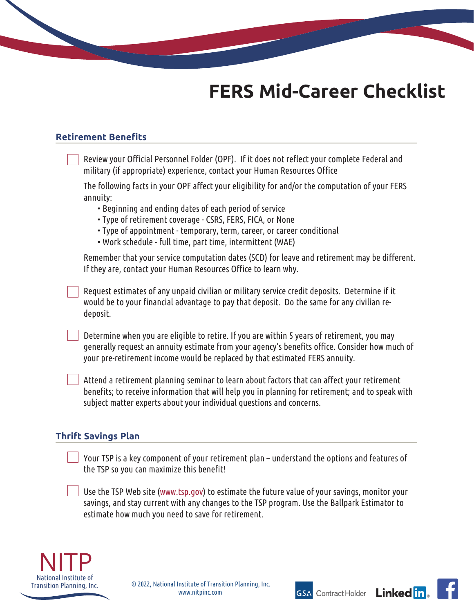# **FERS Mid-Career Checklist**

## **Retirement Benefits**

| Review your Official Personnel Folder (OPF). If it does not reflect your complete Federal and<br>military (if appropriate) experience, contact your Human Resources Office                                                                                                    |
|-------------------------------------------------------------------------------------------------------------------------------------------------------------------------------------------------------------------------------------------------------------------------------|
| The following facts in your OPF affect your eligibility for and/or the computation of your FERS<br>annuity:                                                                                                                                                                   |
| • Beginning and ending dates of each period of service<br>• Type of retirement coverage - CSRS, FERS, FICA, or None<br>• Type of appointment - temporary, term, career, or career conditional<br>• Work schedule - full time, part time, intermittent (WAE)                   |
| Remember that your service computation dates (SCD) for leave and retirement may be different.<br>If they are, contact your Human Resources Office to learn why.                                                                                                               |
| Request estimates of any unpaid civilian or military service credit deposits. Determine if it<br>would be to your financial advantage to pay that deposit. Do the same for any civilian re-<br>deposit.                                                                       |
| Determine when you are eligible to retire. If you are within 5 years of retirement, you may<br>generally request an annuity estimate from your agency's benefits office. Consider how much of<br>your pre-retirement income would be replaced by that estimated FERS annuity. |
| Attend a retirement planning seminar to learn about factors that can affect your retirement<br>benefits; to receive information that will help you in planning for retirement; and to speak with<br>subject matter experts about your individual questions and concerns.      |
| <b>Thrift Savings Plan</b>                                                                                                                                                                                                                                                    |
| Your TSP is a key component of your retirement plan - understand the options and features of<br>the TSP so you can maximize this benefit!                                                                                                                                     |
| Use the TSP Web site (www.tsp.gov) to estimate the future value of your savings, monitor your<br>savings, and stay current with any changes to the TSP program. Use the Ballpark Estimator to                                                                                 |



estimate how much you need to save for retirement.